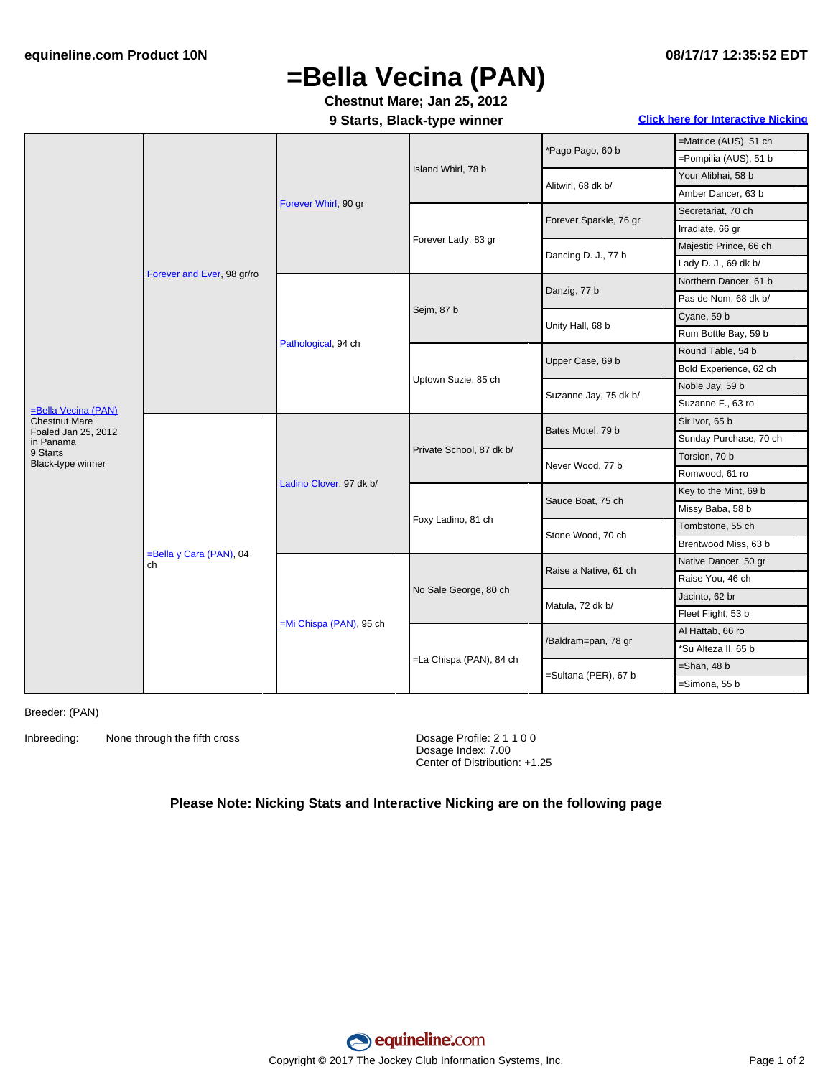## **=Bella Vecina (PAN)**

**Chestnut Mare; Jan 25, 2012**

**9 Starts, Black-type winner Click here for [Interactive](#page-1-0) Nicking**

|                                                                                                                  | Forever and Ever, 98 gr/ro       | Forever Whirl, 90 gr      | Island Whirl, 78 b       | *Pago Pago, 60 b       | =Matrice (AUS), 51 ch  |
|------------------------------------------------------------------------------------------------------------------|----------------------------------|---------------------------|--------------------------|------------------------|------------------------|
|                                                                                                                  |                                  |                           |                          |                        | =Pompilia (AUS), 51 b  |
|                                                                                                                  |                                  |                           |                          | Alitwirl, 68 dk b/     | Your Alibhai, 58 b     |
|                                                                                                                  |                                  |                           |                          |                        | Amber Dancer, 63 b     |
|                                                                                                                  |                                  |                           | Forever Lady, 83 gr      | Forever Sparkle, 76 gr | Secretariat, 70 ch     |
|                                                                                                                  |                                  |                           |                          |                        | Irradiate, 66 gr       |
|                                                                                                                  |                                  |                           |                          | Dancing D. J., 77 b    | Majestic Prince, 66 ch |
|                                                                                                                  |                                  |                           |                          |                        | Lady D. J., 69 dk b/   |
|                                                                                                                  |                                  | Pathological, 94 ch       | Sejm, 87 b               | Danzig, 77 b           | Northern Dancer, 61 b  |
|                                                                                                                  |                                  |                           |                          |                        | Pas de Nom, 68 dk b/   |
| =Bella Vecina (PAN)<br><b>Chestnut Mare</b><br>Foaled Jan 25, 2012<br>in Panama<br>9 Starts<br>Black-type winner |                                  |                           |                          | Unity Hall, 68 b       | Cyane, 59 b            |
|                                                                                                                  |                                  |                           |                          |                        | Rum Bottle Bay, 59 b   |
|                                                                                                                  |                                  |                           | Uptown Suzie, 85 ch      | Upper Case, 69 b       | Round Table, 54 b      |
|                                                                                                                  |                                  |                           |                          |                        | Bold Experience, 62 ch |
|                                                                                                                  |                                  |                           |                          | Suzanne Jay, 75 dk b/  | Noble Jay, 59 b        |
|                                                                                                                  |                                  |                           |                          |                        | Suzanne F., 63 ro      |
|                                                                                                                  | $=$ Bella y Cara (PAN), 04<br>ch | Ladino Clover, 97 dk b/   | Private School, 87 dk b/ | Bates Motel, 79 b      | Sir Ivor, 65 b         |
|                                                                                                                  |                                  |                           |                          |                        | Sunday Purchase, 70 ch |
|                                                                                                                  |                                  |                           |                          | Never Wood, 77 b       | Torsion, 70 b          |
|                                                                                                                  |                                  |                           |                          |                        | Romwood, 61 ro         |
|                                                                                                                  |                                  |                           | Foxy Ladino, 81 ch       | Sauce Boat, 75 ch      | Key to the Mint, 69 b  |
|                                                                                                                  |                                  |                           |                          |                        | Missy Baba, 58 b       |
|                                                                                                                  |                                  |                           |                          | Stone Wood, 70 ch      | Tombstone, 55 ch       |
|                                                                                                                  |                                  |                           |                          |                        | Brentwood Miss, 63 b   |
|                                                                                                                  |                                  | $=Mi$ Chispa (PAN), 95 ch | No Sale George, 80 ch    | Raise a Native, 61 ch  | Native Dancer, 50 gr   |
|                                                                                                                  |                                  |                           |                          |                        | Raise You, 46 ch       |
|                                                                                                                  |                                  |                           |                          | Matula, 72 dk b/       | Jacinto, 62 br         |
|                                                                                                                  |                                  |                           |                          |                        | Fleet Flight, 53 b     |
|                                                                                                                  |                                  |                           | =La Chispa (PAN), 84 ch  | /Baldram=pan, 78 gr    | Al Hattab, 66 ro       |
|                                                                                                                  |                                  |                           |                          |                        | *Su Alteza II, 65 b    |
|                                                                                                                  |                                  |                           |                          | =Sultana (PER), 67 b   | $=$ Shah, 48 b         |
|                                                                                                                  |                                  |                           |                          |                        | =Simona, 55 b          |

Breeder: (PAN)

Inbreeding: None through the fifth cross Dosage Profile: 2 1 1 0 0

Dosage Index: 7.00 Center of Distribution: +1.25

## **Please Note: Nicking Stats and Interactive Nicking are on the following page**